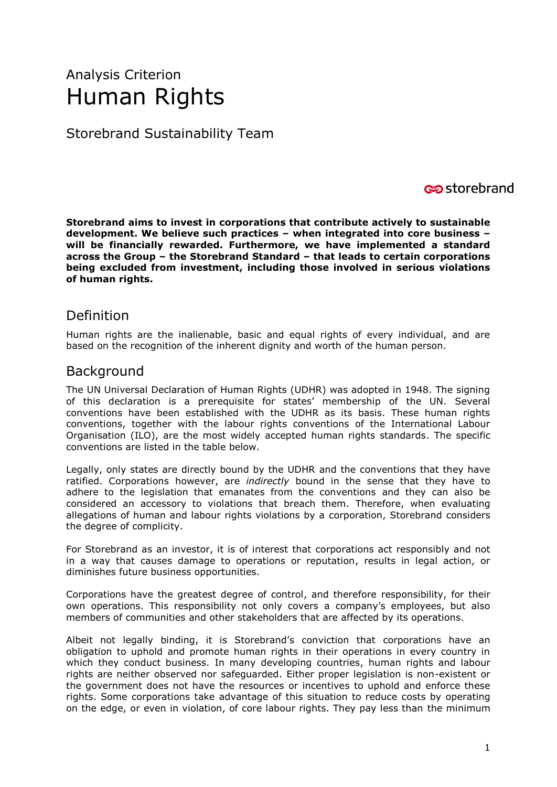# Analysis Criterion Human Rights

Storebrand Sustainability Team

#### **c**ostorebrand

**Storebrand aims to invest in corporations that contribute actively to sustainable development. We believe such practices – when integrated into core business – will be financially rewarded. Furthermore, we have implemented a standard across the Group – the Storebrand Standard – that leads to certain corporations being excluded from investment, including those involved in serious violations of human rights.**

### Definition

Human rights are the inalienable, basic and equal rights of every individual, and are based on the recognition of the inherent dignity and worth of the human person.

#### Background

The UN Universal Declaration of Human Rights (UDHR) was adopted in 1948. The signing of this declaration is a prerequisite for states' membership of the UN. Several conventions have been established with the UDHR as its basis. These human rights conventions, together with the labour rights conventions of the International Labour Organisation (ILO), are the most widely accepted human rights standards. The specific conventions are listed in the table below.

Legally, only states are directly bound by the UDHR and the conventions that they have ratified. Corporations however, are *indirectly* bound in the sense that they have to adhere to the legislation that emanates from the conventions and they can also be considered an accessory to violations that breach them. Therefore, when evaluating allegations of human and labour rights violations by a corporation, Storebrand considers the degree of complicity.

For Storebrand as an investor, it is of interest that corporations act responsibly and not in a way that causes damage to operations or reputation, results in legal action, or diminishes future business opportunities.

Corporations have the greatest degree of control, and therefore responsibility, for their own operations. This responsibility not only covers a company's employees, but also members of communities and other stakeholders that are affected by its operations.

Albeit not legally binding, it is Storebrand's conviction that corporations have an obligation to uphold and promote human rights in their operations in every country in which they conduct business. In many developing countries, human rights and labour rights are neither observed nor safeguarded. Either proper legislation is non-existent or the government does not have the resources or incentives to uphold and enforce these rights. Some corporations take advantage of this situation to reduce costs by operating on the edge, or even in violation, of core labour rights. They pay less than the minimum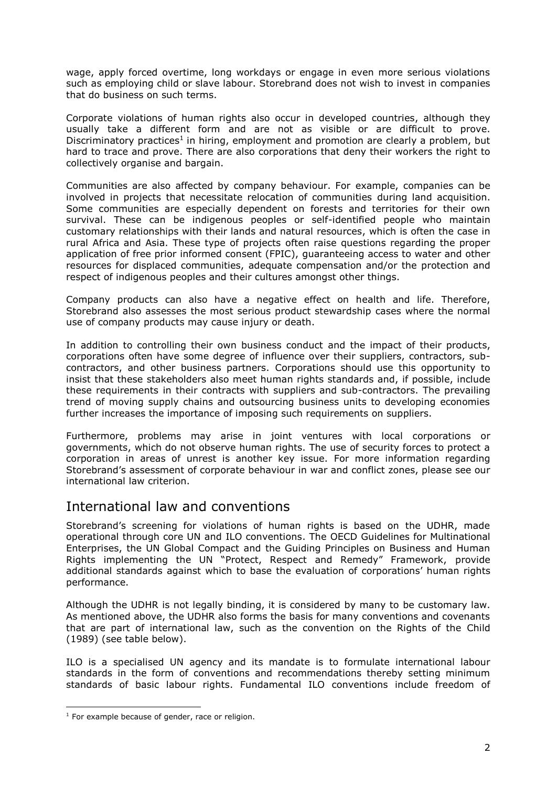wage, apply forced overtime, long workdays or engage in even more serious violations such as employing child or slave labour. Storebrand does not wish to invest in companies that do business on such terms.

Corporate violations of human rights also occur in developed countries, although they usually take a different form and are not as visible or are difficult to prove. Discriminatory practices<sup>1</sup> in hiring, employment and promotion are clearly a problem, but hard to trace and prove. There are also corporations that deny their workers the right to collectively organise and bargain.

Communities are also affected by company behaviour. For example, companies can be involved in projects that necessitate relocation of communities during land acquisition. Some communities are especially dependent on forests and territories for their own survival. These can be indigenous peoples or self-identified people who maintain customary relationships with their lands and natural resources, which is often the case in rural Africa and Asia. These type of projects often raise questions regarding the proper application of free prior informed consent (FPIC), guaranteeing access to water and other resources for displaced communities, adequate compensation and/or the protection and respect of indigenous peoples and their cultures amongst other things.

Company products can also have a negative effect on health and life. Therefore, Storebrand also assesses the most serious product stewardship cases where the normal use of company products may cause injury or death.

In addition to controlling their own business conduct and the impact of their products, corporations often have some degree of influence over their suppliers, contractors, subcontractors, and other business partners. Corporations should use this opportunity to insist that these stakeholders also meet human rights standards and, if possible, include these requirements in their contracts with suppliers and sub-contractors. The prevailing trend of moving supply chains and outsourcing business units to developing economies further increases the importance of imposing such requirements on suppliers.

Furthermore, problems may arise in joint ventures with local corporations or governments, which do not observe human rights. The use of security forces to protect a corporation in areas of unrest is another key issue. For more information regarding Storebrand's assessment of corporate behaviour in war and conflict zones, please see our international law criterion.

#### International law and conventions

Storebrand's screening for violations of human rights is based on the UDHR, made operational through core UN and ILO conventions. The OECD Guidelines for Multinational Enterprises, the UN Global Compact and the Guiding Principles on Business and Human Rights implementing the UN "Protect, Respect and Remedy" Framework, provide additional standards against which to base the evaluation of corporations' human rights performance.

Although the UDHR is not legally binding, it is considered by many to be customary law. As mentioned above, the UDHR also forms the basis for many conventions and covenants that are part of international law, such as the convention on the Rights of the Child (1989) (see table below).

ILO is a specialised UN agency and its mandate is to formulate international labour standards in the form of conventions and recommendations thereby setting minimum standards of basic labour rights. Fundamental ILO conventions include freedom of

ł

 $1$  For example because of gender, race or religion.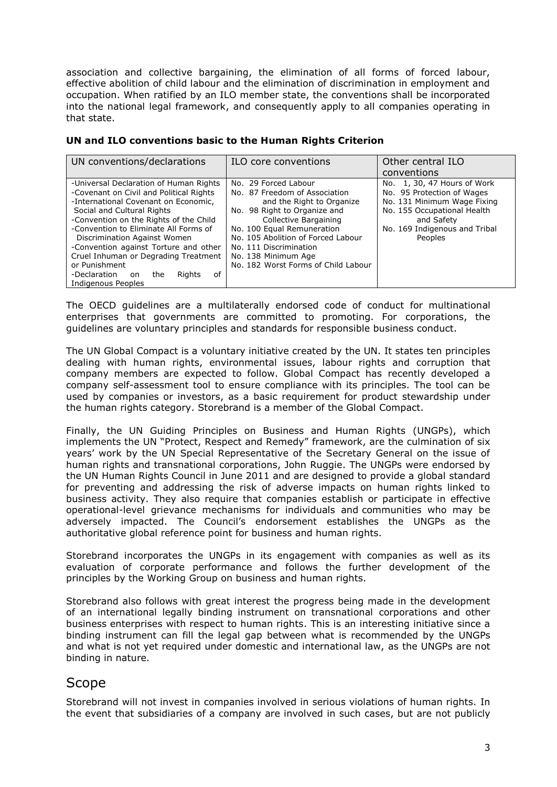association and collective bargaining, the elimination of all forms of forced labour, effective abolition of child labour and the elimination of discrimination in employment and occupation. When ratified by an ILO member state, the conventions shall be incorporated into the national legal framework, and consequently apply to all companies operating in that state.

|  | UN and ILO conventions basic to the Human Rights Criterion |  |  |  |
|--|------------------------------------------------------------|--|--|--|
|  |                                                            |  |  |  |

| UN conventions/declarations                | ILO core conventions                | Other central ILO             |  |  |
|--------------------------------------------|-------------------------------------|-------------------------------|--|--|
|                                            |                                     | conventions                   |  |  |
| -Universal Declaration of Human Rights     | No. 29 Forced Labour                | No. 1, 30, 47 Hours of Work   |  |  |
| -Covenant on Civil and Political Rights    | No. 87 Freedom of Association       | No. 95 Protection of Wages    |  |  |
| -International Covenant on Economic,       | and the Right to Organize           | No. 131 Minimum Wage Fixing   |  |  |
| Social and Cultural Rights                 | No. 98 Right to Organize and        | No. 155 Occupational Health   |  |  |
| -Convention on the Rights of the Child     | Collective Bargaining               | and Safety                    |  |  |
| -Convention to Eliminate All Forms of      | No. 100 Equal Remuneration          | No. 169 Indigenous and Tribal |  |  |
| Discrimination Against Women               | No. 105 Abolition of Forced Labour  | Peoples                       |  |  |
| -Convention against Torture and other      | No. 111 Discrimination              |                               |  |  |
| Cruel Inhuman or Degrading Treatment       | No. 138 Minimum Age                 |                               |  |  |
| or Punishment                              | No. 182 Worst Forms of Child Labour |                               |  |  |
| -Declaration<br>Rights<br>οf<br>the<br>on. |                                     |                               |  |  |
| Indigenous Peoples                         |                                     |                               |  |  |

The OECD guidelines are a multilaterally endorsed code of conduct for multinational enterprises that governments are committed to promoting. For corporations, the guidelines are voluntary principles and standards for responsible business conduct.

The UN Global Compact is a voluntary initiative created by the UN. It states ten principles dealing with human rights, environmental issues, labour rights and corruption that company members are expected to follow. Global Compact has recently developed a company self-assessment tool to ensure compliance with its principles. The tool can be used by companies or investors, as a basic requirement for product stewardship under the human rights category. Storebrand is a member of the Global Compact.

Finally, the UN Guiding Principles on Business and Human Rights (UNGPs), which implements the UN "Protect, Respect and Remedy" framework, are the culmination of six years' work by the UN Special Representative of the Secretary General on the issue of human rights and transnational corporations, John Ruggie. The UNGPs were endorsed by the UN Human Rights Council in June 2011 and are designed to provide a global standard for preventing and addressing the risk of adverse impacts on human rights linked to business activity. They also require that companies establish or participate in effective operational-level grievance mechanisms for individuals and communities who may be adversely impacted. The Council's endorsement establishes the UNGPs as the authoritative global reference point for business and human rights.

Storebrand incorporates the UNGPs in its engagement with companies as well as its evaluation of corporate performance and follows the further development of the principles by the Working Group on business and human rights.

Storebrand also follows with great interest the progress being made in the development of an international legally binding instrument on transnational corporations and other business enterprises with respect to human rights. This is an interesting initiative since a binding instrument can fill the legal gap between what is recommended by the UNGPs and what is not yet required under domestic and international law, as the UNGPs are not binding in nature.

## Scope

Storebrand will not invest in companies involved in serious violations of human rights. In the event that subsidiaries of a company are involved in such cases, but are not publicly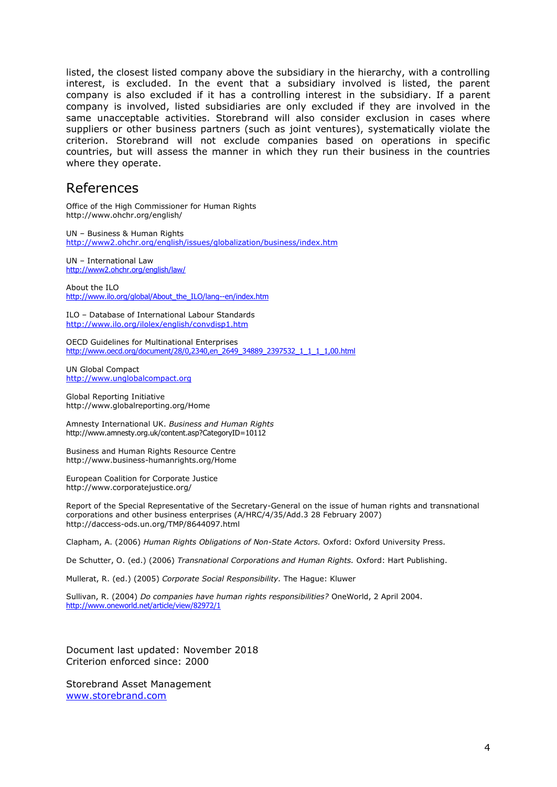listed, the closest listed company above the subsidiary in the hierarchy, with a controlling interest, is excluded. In the event that a subsidiary involved is listed, the parent company is also excluded if it has a controlling interest in the subsidiary. If a parent company is involved, listed subsidiaries are only excluded if they are involved in the same unacceptable activities. Storebrand will also consider exclusion in cases where suppliers or other business partners (such as joint ventures), systematically violate the criterion. Storebrand will not exclude companies based on operations in specific countries, but will assess the manner in which they run their business in the countries where they operate.

#### References

Office of the High Commissioner for Human Rights http://www.ohchr.org/english/

UN – Business & Human Rights <http://www2.ohchr.org/english/issues/globalization/business/index.htm>

UN – International Law <http://www2.ohchr.org/english/law/>

About the ILO [http://www.ilo.org/global/About\\_the\\_ILO/lang--en/index.htm](http://www.ilo.org/global/About_the_ILO/lang--en/index.htm)

ILO – Database of International Labour Standards <http://www.ilo.org/ilolex/english/convdisp1.htm>

OECD Guidelines for Multinational Enterprises [http://www.oecd.org/document/28/0,2340,en\\_2649\\_34889\\_2397532\\_1\\_1\\_1\\_1,00.html](http://www.oecd.org/document/28/0,2340,en_2649_34889_2397532_1_1_1_1,00.html)

UN Global Compact [http://www.unglobalcompact.org](http://www.unglobalcompact.org/)

Global Reporting Initiative http://www.globalreporting.org/Home

Amnesty International UK. *Business and Human Rights* http://www.amnesty.org.uk/content.asp?CategoryID=10112

Business and Human Rights Resource Centre http://www.business-humanrights.org/Home

European Coalition for Corporate Justice http://www.corporatejustice.org/

Report of the Special Representative of the Secretary-General on the issue of human rights and transnational corporations and other business enterprises (A/HRC/4/35/Add.3 28 February 2007) http://daccess-ods.un.org/TMP/8644097.html

Clapham, A. (2006) *Human Rights Obligations of Non-State Actors.* Oxford: Oxford University Press.

De Schutter, O. (ed.) (2006) *Transnational Corporations and Human Rights.* Oxford: Hart Publishing.

Mullerat, R. (ed.) (2005) *Corporate Social Responsibility.* The Hague: Kluwer

Sullivan, R. (2004) *Do companies have human rights responsibilities?* OneWorld, 2 April 2004. <http://www.oneworld.net/article/view/82972/1>

Document last updated: November 2018 Criterion enforced since: 2000

Storebrand Asset Management [www.storebrand.com](http://www.storebrand.com/)